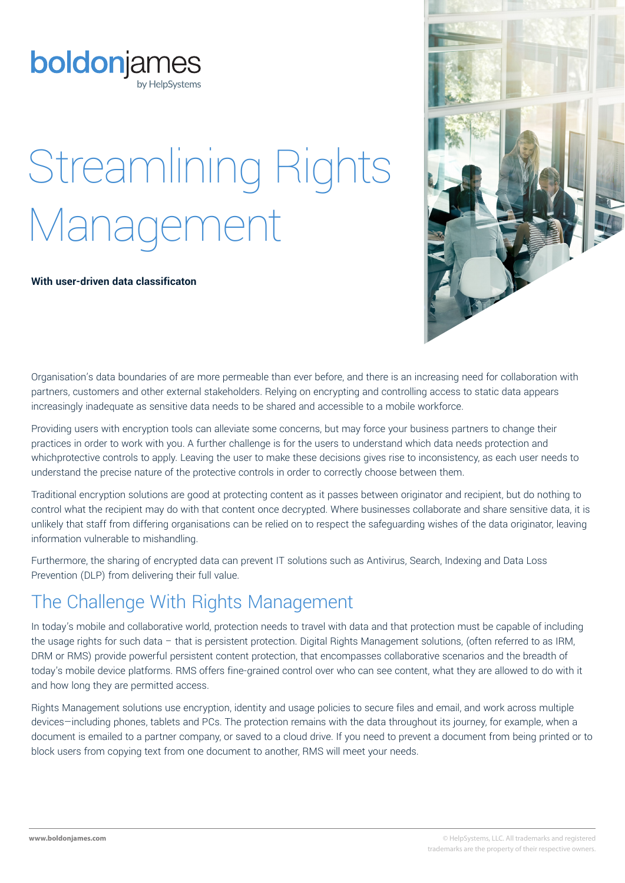# Streamlining Rights Management

#### **With user-driven data classificaton**

Organisation's data boundaries of are more permeable than ever before, and there is an increasing need for collaboration with partners, customers and other external stakeholders. Relying on encrypting and controlling access to static data appears increasingly inadequate as sensitive data needs to be shared and accessible to a mobile workforce.

Providing users with encryption tools can alleviate some concerns, but may force your business partners to change their practices in order to work with you. A further challenge is for the users to understand which data needs protection and whichprotective controls to apply. Leaving the user to make these decisions gives rise to inconsistency, as each user needs to understand the precise nature of the protective controls in order to correctly choose between them.

Traditional encryption solutions are good at protecting content as it passes between originator and recipient, but do nothing to control what the recipient may do with that content once decrypted. Where businesses collaborate and share sensitive data, it is unlikely that staff from differing organisations can be relied on to respect the safeguarding wishes of the data originator, leaving information vulnerable to mishandling.

Furthermore, the sharing of encrypted data can prevent IT solutions such as Antivirus, Search, Indexing and Data Loss Prevention (DLP) from delivering their full value.

## The Challenge With Rights Management

In today's mobile and collaborative world, protection needs to travel with data and that protection must be capable of including the usage rights for such data – that is persistent protection. Digital Rights Management solutions, (often referred to as IRM, DRM or RMS) provide powerful persistent content protection, that encompasses collaborative scenarios and the breadth of today's mobile device platforms. RMS offers fine-grained control over who can see content, what they are allowed to do with it and how long they are permitted access.

Rights Management solutions use encryption, identity and usage policies to secure files and email, and work across multiple devices-including phones, tablets and PCs. The protection remains with the data throughout its journey, for example, when a document is emailed to a partner company, or saved to a cloud drive. If you need to prevent a document from being printed or to block users from copying text from one document to another, RMS will meet your needs.